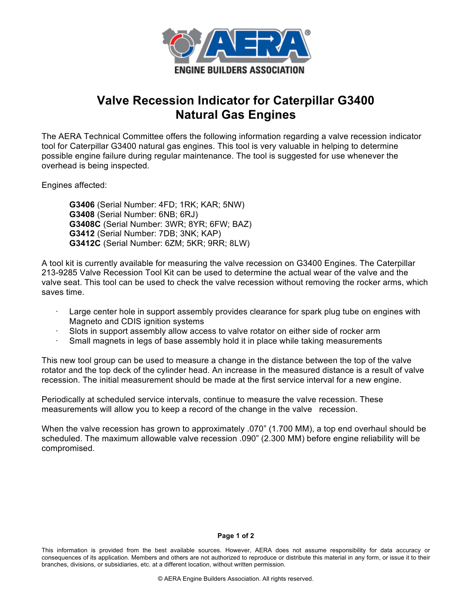

# **Valve Recession Indicator for Caterpillar G3400 Natural Gas Engines**

The AERA Technical Committee offers the following information regarding a valve recession indicator tool for Caterpillar G3400 natural gas engines. This tool is very valuable in helping to determine possible engine failure during regular maintenance. The tool is suggested for use whenever the overhead is being inspected.

Engines affected:

**G3406** (Serial Number: 4FD; 1RK; KAR; 5NW) **G3408** (Serial Number: 6NB; 6RJ) **G3408C** (Serial Number: 3WR; 8YR; 6FW; BAZ) **G3412** (Serial Number: 7DB; 3NK; KAP) **G3412C** (Serial Number: 6ZM; 5KR; 9RR; 8LW)

A tool kit is currently available for measuring the valve recession on G3400 Engines. The Caterpillar 213-9285 Valve Recession Tool Kit can be used to determine the actual wear of the valve and the valve seat. This tool can be used to check the valve recession without removing the rocker arms, which saves time.

- Large center hole in support assembly provides clearance for spark plug tube on engines with Magneto and CDIS ignition systems
- Slots in support assembly allow access to valve rotator on either side of rocker arm
- Small magnets in legs of base assembly hold it in place while taking measurements

This new tool group can be used to measure a change in the distance between the top of the valve rotator and the top deck of the cylinder head. An increase in the measured distance is a result of valve recession. The initial measurement should be made at the first service interval for a new engine.

Periodically at scheduled service intervals, continue to measure the valve recession. These measurements will allow you to keep a record of the change in the valve recession.

When the valve recession has grown to approximately .070" (1.700 MM), a top end overhaul should be scheduled. The maximum allowable valve recession .090" (2.300 MM) before engine reliability will be compromised.

#### **Page 1 of 2**

This information is provided from the best available sources. However, AERA does not assume responsibility for data accuracy or consequences of its application. Members and others are not authorized to reproduce or distribute this material in any form, or issue it to their branches, divisions, or subsidiaries, etc. at a different location, without written permission.